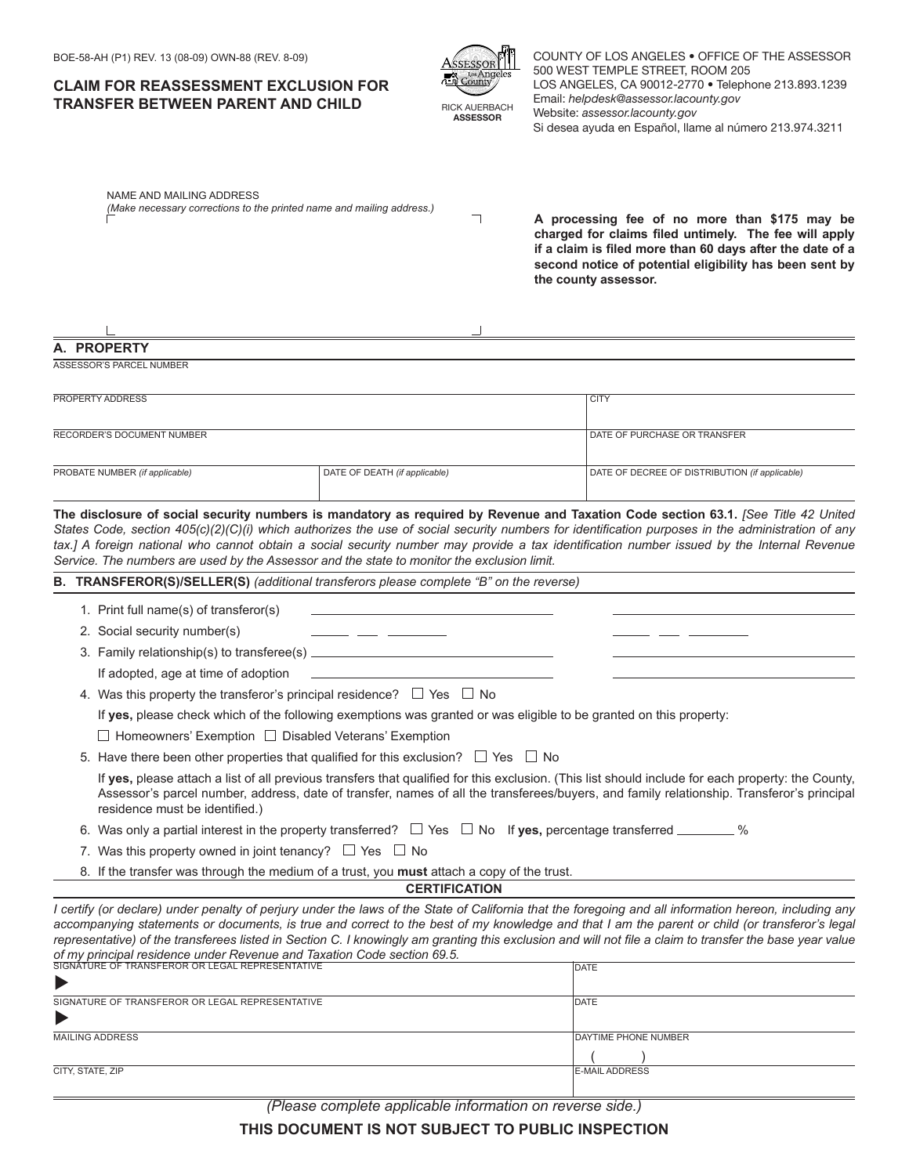# **CLAIM FOR REASSESSMENT EXCLUSION FOR TRANSFER BETWEEN PARENT AND CHILD**



COUNTY OF LOS ANGELES • OFFICE OF THE ASSESSOR 500 WEST TEMPLE STREET, ROOM 205 LOS ANGELES, CA 90012-2770 • Telephone 213.893.1239 Email: *helpdesk@assessor.lacounty.gov* Website: *assessor.lacounty.gov* Si desea ayuda en Español, llame al número 213.974.3211

NAME AND MAILING ADDRESS *(Make necessary corrections to the printed name and mailing address.)* ┑ **A processing fee of no more than \$175 may be charged for claims filed untimely. The fee will apply if a claim is filed more than 60 days after the date of a second notice of potential eligibility has been sent by the county assessor.** 

# **A. PROPERTY**

#### ASSESSOR'S PARCEL NUMBER

| PROPERTY ADDRESS                  |                               | <b>CITY</b>                                    |  |  |
|-----------------------------------|-------------------------------|------------------------------------------------|--|--|
|                                   |                               |                                                |  |  |
|                                   |                               |                                                |  |  |
| <b>RECORDER'S DOCUMENT NUMBER</b> |                               | <b>DATE OF PURCHASE OR TRANSFER</b>            |  |  |
|                                   |                               |                                                |  |  |
| PROBATE NUMBER (if applicable)    | DATE OF DEATH (if applicable) | DATE OF DECREE OF DISTRIBUTION (if applicable) |  |  |
|                                   |                               |                                                |  |  |
|                                   |                               |                                                |  |  |

**The disclosure of social security numbers is mandatory as required by Revenue and Taxation Code section 63.1.** *[See Title 42 United States Code, section 405(c)(2)(C)(i) which authorizes the use of social security numbers for identification purposes in the administration of any*  tax.] A foreign national who cannot obtain a social security number may provide a tax identification number issued by the Internal Revenue *Service. The numbers are used by the Assessor and the state to monitor the exclusion limit.* 

|                                                                                                                    | B. TRANSFEROR(S)/SELLER(S) (additional transferors please complete "B" on the reverse)                                                                                                                                                                                                                                                                                                                                                                                                                                                                                                                     |  |
|--------------------------------------------------------------------------------------------------------------------|------------------------------------------------------------------------------------------------------------------------------------------------------------------------------------------------------------------------------------------------------------------------------------------------------------------------------------------------------------------------------------------------------------------------------------------------------------------------------------------------------------------------------------------------------------------------------------------------------------|--|
|                                                                                                                    | 1. Print full name(s) of transferor(s)                                                                                                                                                                                                                                                                                                                                                                                                                                                                                                                                                                     |  |
|                                                                                                                    | 2. Social security number(s)<br><u> 1989 - John Harrison, mars eta industrial eta industrial eta industrial eta industrial eta industrial eta in</u>                                                                                                                                                                                                                                                                                                                                                                                                                                                       |  |
|                                                                                                                    |                                                                                                                                                                                                                                                                                                                                                                                                                                                                                                                                                                                                            |  |
|                                                                                                                    | If adopted, age at time of adoption                                                                                                                                                                                                                                                                                                                                                                                                                                                                                                                                                                        |  |
|                                                                                                                    | 4. Was this property the transferor's principal residence? $\Box$ Yes $\Box$ No                                                                                                                                                                                                                                                                                                                                                                                                                                                                                                                            |  |
| If yes, please check which of the following exemptions was granted or was eligible to be granted on this property: |                                                                                                                                                                                                                                                                                                                                                                                                                                                                                                                                                                                                            |  |
| $\Box$ Homeowners' Exemption $\Box$ Disabled Veterans' Exemption                                                   |                                                                                                                                                                                                                                                                                                                                                                                                                                                                                                                                                                                                            |  |
| 5. Have there been other properties that qualified for this exclusion? $\Box$ Yes $\Box$ No                        |                                                                                                                                                                                                                                                                                                                                                                                                                                                                                                                                                                                                            |  |
|                                                                                                                    | If yes, please attach a list of all previous transfers that qualified for this exclusion. (This list should include for each property: the County,<br>Assessor's parcel number, address, date of transfer, names of all the transferees/buyers, and family relationship. Transferor's principal<br>residence must be identified.)                                                                                                                                                                                                                                                                          |  |
|                                                                                                                    | 6. Was only a partial interest in the property transferred? $\Box$ Yes $\Box$ No If yes, percentage transferred _______ %                                                                                                                                                                                                                                                                                                                                                                                                                                                                                  |  |
| 7. Was this property owned in joint tenancy? $\Box$ Yes $\Box$ No                                                  |                                                                                                                                                                                                                                                                                                                                                                                                                                                                                                                                                                                                            |  |
|                                                                                                                    | 8. If the transfer was through the medium of a trust, you must attach a copy of the trust.                                                                                                                                                                                                                                                                                                                                                                                                                                                                                                                 |  |
|                                                                                                                    | <b>CERTIFICATION</b>                                                                                                                                                                                                                                                                                                                                                                                                                                                                                                                                                                                       |  |
|                                                                                                                    | I certify (or declare) under penalty of perjury under the laws of the State of California that the foregoing and all information hereon, including any<br>accompanying statements or documents, is true and correct to the best of my knowledge and that I am the parent or child (or transferor's legal<br>representative) of the transferees listed in Section C. I knowingly am granting this exclusion and will not file a claim to transfer the base year value<br>of my principal residence under Revenue and Taxation Code section 69.5.<br>SIGNATURE OF TRANSFEROR OR LEGAL REPRESENTATIVE<br>DATE |  |
|                                                                                                                    |                                                                                                                                                                                                                                                                                                                                                                                                                                                                                                                                                                                                            |  |
|                                                                                                                    | SIGNATURE OF TRANSFEROR OR LEGAL REPRESENTATIVE<br>DATE                                                                                                                                                                                                                                                                                                                                                                                                                                                                                                                                                    |  |
|                                                                                                                    | <b>MAILING ADDRESS</b><br><b>DAYTIME PHONE NUMBER</b>                                                                                                                                                                                                                                                                                                                                                                                                                                                                                                                                                      |  |
|                                                                                                                    |                                                                                                                                                                                                                                                                                                                                                                                                                                                                                                                                                                                                            |  |

CITY, STATE, ZIP E-MAIL ADDRESS

*(Please complete applicable information on reverse side.)*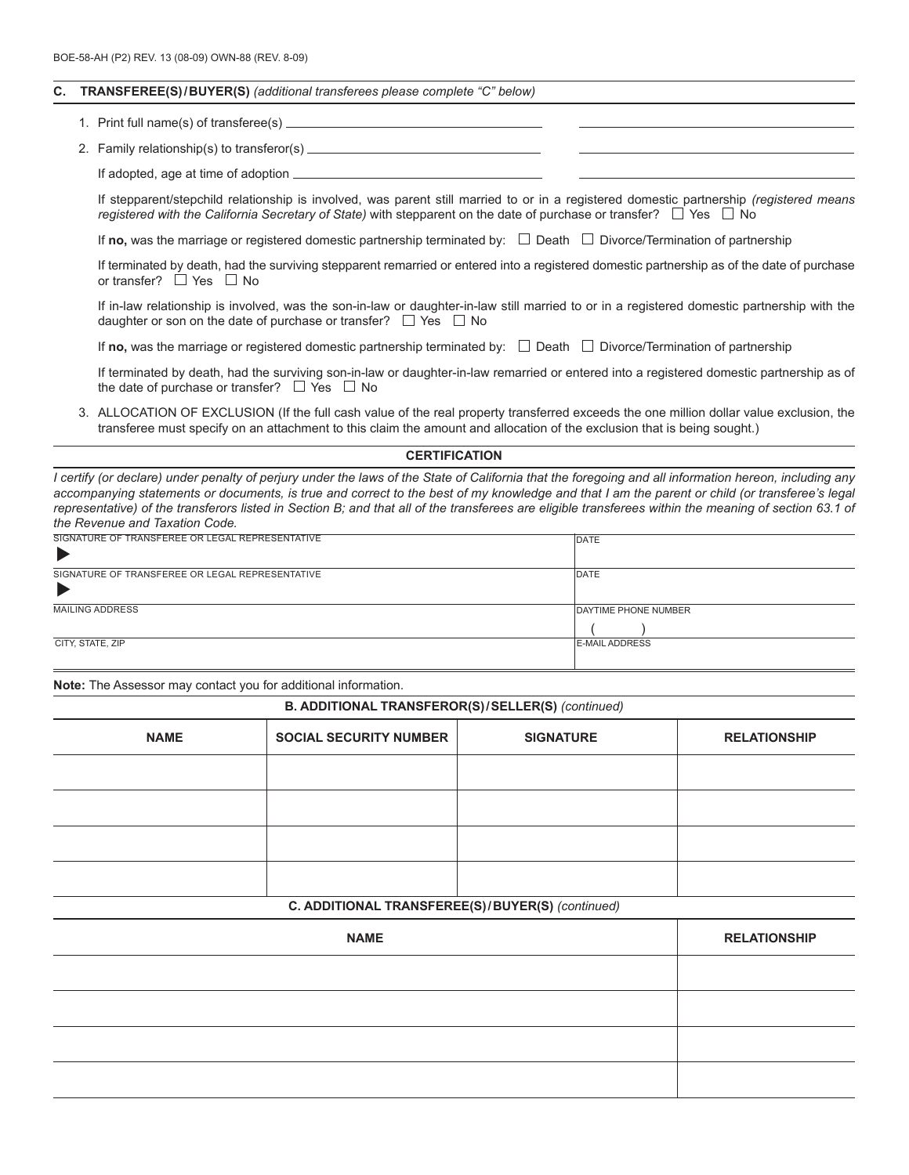#### **C. TRANSFEREE(S)/BUYER(S)** *(additional transferees please complete "C" below)*

1. Print full name(s) of transferee(s)

2. Family relationship(s) to transferor(s) \_

If adopted, age at time of adoption

 If stepparent/stepchild relationship is involved, was parent still married to or in a registered domestic partnership *(registered means registered with the California Secretary of State*) with stepparent on the date of purchase or transfer?  $\Box$  Yes  $\Box$  No

If **no**, was the marriage or registered domestic partnership terminated by:  $\Box$  Death  $\Box$  Divorce/Termination of partnership

 If terminated by death, had the surviving stepparent remarried or entered into a registered domestic partnership as of the date of purchase or transfer?  $\Box$  Yes  $\Box$  No

 If in-law relationship is involved, was the son-in-law or daughter-in-law still married to or in a registered domestic partnership with the daughter or son on the date of purchase or transfer?  $\Box$  Yes  $\Box$  No

If **no**, was the marriage or registered domestic partnership terminated by:  $\Box$  Death  $\Box$  Divorce/Termination of partnership

 If terminated by death, had the surviving son-in-law or daughter-in-law remarried or entered into a registered domestic partnership as of the date of purchase or transfer?  $\Box$  Yes  $\Box$  No

3. ALLOCATION OF EXCLUSION (If the full cash value of the real property transferred exceeds the one million dollar value exclusion, the transferee must specify on an attachment to this claim the amount and allocation of the exclusion that is being sought.)

## **CERTIFICATION**

*I certify (or declare) under penalty of perjury under the laws of the State of California that the foregoing and all information hereon, including any accompanying statements or documents, is true and correct to the best of my knowledge and that I am the parent or child (or transferee's legal*  representative) of the transferors listed in Section B; and that all of the transferees are eligible transferees within the meaning of section 63.1 of *the Revenue and Taxation Code.*

| SIGNATURE OF TRANSFEREE OR LEGAL REPRESENTATIVE | DATE                        |
|-------------------------------------------------|-----------------------------|
|                                                 |                             |
| SIGNATURE OF TRANSFEREE OR LEGAL REPRESENTATIVE | DATE                        |
|                                                 |                             |
| <b>MAILING ADDRESS</b>                          | <b>DAYTIME PHONE NUMBER</b> |
|                                                 |                             |
| CITY, STATE, ZIP                                | <b>E-MAIL ADDRESS</b>       |
|                                                 |                             |

| Note: The Assessor may contact you for additional information. |  |  |
|----------------------------------------------------------------|--|--|
|----------------------------------------------------------------|--|--|

### **B. ADDITIONAL TRANSFEROR(S)/SELLER(S)** *(continued)*

| <b>NAME</b> | <b>SOCIAL SECURITY NUMBER</b> | <b>SIGNATURE</b> | <b>RELATIONSHIP</b> |
|-------------|-------------------------------|------------------|---------------------|
|             |                               |                  |                     |
|             |                               |                  |                     |
|             |                               |                  |                     |
|             |                               |                  |                     |

#### **C. ADDITIONAL TRANSFEREE(S)/BUYER(S)** *(continued)*

| <b>NAME</b> | <b>RELATIONSHIP</b> |
|-------------|---------------------|
|             |                     |
|             |                     |
|             |                     |
|             |                     |